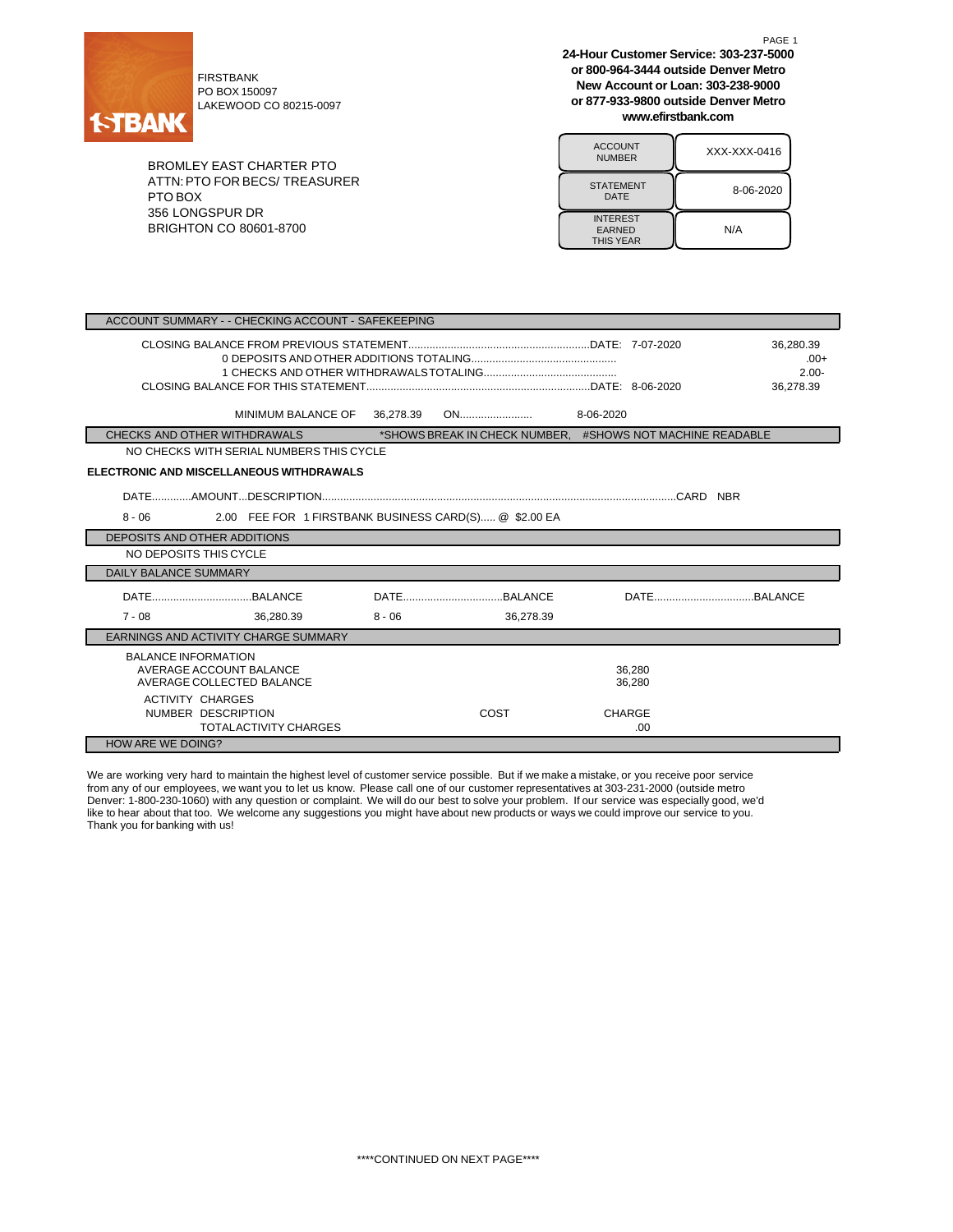

PO BOX 150097 LAKEWOOD CO 80215-0097

BROMLEY EAST CHARTER PTO ATTN:PTO FOR BECS/ TREASURER PTO BOX 356 LONGSPUR DR BRIGHTON CO 80601-8700

**24-Hour Customer Service: 303-237-5000 or 800-964-3444 outside Denver Metro New Account or Loan: 303-238-9000 or 877-933-9800 outside Denver Metro www.efirstbank.com**

PAGE 1

| <b>ACCOUNT</b><br><b>NUMBER</b>                      | XXX-XXX-0416 |  |  |  |
|------------------------------------------------------|--------------|--|--|--|
| <b>STATEMENT</b><br>DATE                             | 8-06-2020    |  |  |  |
| <b>INTEREST</b><br><b>EARNED</b><br><b>THIS YEAR</b> | N/A          |  |  |  |

| 36,280.39<br>$.00+$<br>$2.00 -$<br>36.278.39<br>MINIMUM BALANCE OF<br>36,278.39<br>8-06-2020<br>*SHOWS BREAK IN CHECK NUMBER. #SHOWS NOT MACHINE READABLE<br>CHECKS AND OTHER WITHDRAWALS<br>NO CHECKS WITH SERIAL NUMBERS THIS CYCLE<br>ELECTRONIC AND MISCELLANEOUS WITHDRAWALS<br>2.00 FEE FOR 1 FIRSTBANK BUSINESS CARD(S) @ \$2.00 EA<br>$8 - 06$<br>DEPOSITS AND OTHER ADDITIONS<br>NO DEPOSITS THIS CYCLE<br><b>DAILY BALANCE SUMMARY</b><br>$7 - 08$<br>36.280.39<br>$8 - 06$<br>36.278.39<br>EARNINGS AND ACTIVITY CHARGE SUMMARY |                              |  |  |  |  |  |  |
|--------------------------------------------------------------------------------------------------------------------------------------------------------------------------------------------------------------------------------------------------------------------------------------------------------------------------------------------------------------------------------------------------------------------------------------------------------------------------------------------------------------------------------------------|------------------------------|--|--|--|--|--|--|
|                                                                                                                                                                                                                                                                                                                                                                                                                                                                                                                                            |                              |  |  |  |  |  |  |
|                                                                                                                                                                                                                                                                                                                                                                                                                                                                                                                                            |                              |  |  |  |  |  |  |
|                                                                                                                                                                                                                                                                                                                                                                                                                                                                                                                                            |                              |  |  |  |  |  |  |
|                                                                                                                                                                                                                                                                                                                                                                                                                                                                                                                                            |                              |  |  |  |  |  |  |
|                                                                                                                                                                                                                                                                                                                                                                                                                                                                                                                                            |                              |  |  |  |  |  |  |
|                                                                                                                                                                                                                                                                                                                                                                                                                                                                                                                                            |                              |  |  |  |  |  |  |
|                                                                                                                                                                                                                                                                                                                                                                                                                                                                                                                                            |                              |  |  |  |  |  |  |
|                                                                                                                                                                                                                                                                                                                                                                                                                                                                                                                                            |                              |  |  |  |  |  |  |
|                                                                                                                                                                                                                                                                                                                                                                                                                                                                                                                                            |                              |  |  |  |  |  |  |
|                                                                                                                                                                                                                                                                                                                                                                                                                                                                                                                                            |                              |  |  |  |  |  |  |
|                                                                                                                                                                                                                                                                                                                                                                                                                                                                                                                                            |                              |  |  |  |  |  |  |
|                                                                                                                                                                                                                                                                                                                                                                                                                                                                                                                                            |                              |  |  |  |  |  |  |
|                                                                                                                                                                                                                                                                                                                                                                                                                                                                                                                                            |                              |  |  |  |  |  |  |
| AVERAGE ACCOUNT BALANCE<br>36.280<br>AVERAGE COLLECTED BALANCE<br>36.280<br><b>ACTIVITY CHARGES</b>                                                                                                                                                                                                                                                                                                                                                                                                                                        | <b>BALANCE INFORMATION</b>   |  |  |  |  |  |  |
| NUMBER DESCRIPTION<br>COST<br><b>CHARGE</b>                                                                                                                                                                                                                                                                                                                                                                                                                                                                                                | <b>TOTALACTIVITY CHARGES</b> |  |  |  |  |  |  |
| .00                                                                                                                                                                                                                                                                                                                                                                                                                                                                                                                                        | <b>HOW ARE WE DOING?</b>     |  |  |  |  |  |  |

We are working very hard to maintain the highest level of customer service possible. But if we make a mistake, or you receive poor service from any of our employees, we want you to let us know. Please call one of our customer representatives at 303-231-2000 (outside metro Denver: 1-800-230-1060) with any question or complaint. We will do our best to solve your problem. If our service was especially good, we'd like to hear about that too. We welcome any suggestions you might have about new products or ways we could improve our service to you. Thank you for banking with us!